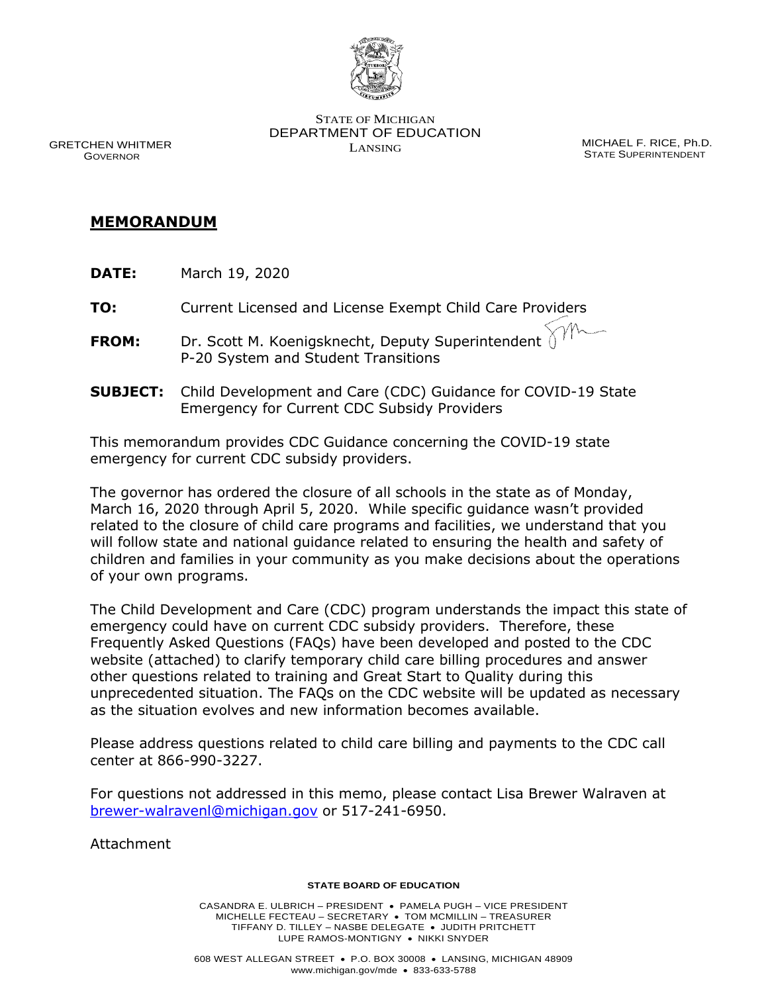

GRETCHEN WHITMER GOVERNOR

STATE OF MICHIGAN DEPARTMENT OF EDUCATION LANSING MICHAEL F. RICE, Ph.D.

STATE SUPERINTENDENT

## **MEMORANDUM**

**TO:** Current Licensed and License Exempt Child Care Providers

- **FROM:** Dr. Scott M. Koenigsknecht, Deputy Superintendent P-20 System and Student Transitions
- **SUBJECT:** Child Development and Care (CDC) Guidance for COVID-19 State Emergency for Current CDC Subsidy Providers

This memorandum provides CDC Guidance concerning the COVID-19 state emergency for current CDC subsidy providers.

 The governor has ordered the closure of all schools in the state as of Monday, children and families in your community as you make decisions about the operations of your own programs. March 16, 2020 through April 5, 2020. While specific guidance wasn't provided related to the closure of child care programs and facilities, we understand that you will follow state and national guidance related to ensuring the health and safety of

 The Child Development and Care (CDC) program understands the impact this state of emergency could have on current CDC subsidy providers. Therefore, these Frequently Asked Questions (FAQs) have been developed and posted to the CDC website (attached) to clarify temporary child care billing procedures and answer other questions related to training and Great Start to Quality during this as the situation evolves and new information becomes available. unprecedented situation. The FAQs on the CDC website will be updated as necessary

 Please address questions related to child care billing and payments to the CDC call center at 866-990-3227.

For questions not addressed in this memo, please contact Lisa Brewer Walraven at [brewer-walravenl@michigan.gov](mailto:brewer-walravenl@michigan.gov) or 517-241-6950.

Attachment

## **STATE BOARD OF EDUCATION**

 MICHELLE FECTEAU – SECRETARY • TOM MCMILLIN – TREASURER TIFFANY D. TILLEY – NASBE DELEGATE • JUDITH PRITCHETT LUPE RAMOS-MONTIGNY • NIKKI SNYDER CASANDRA E. ULBRICH – PRESIDENT • PAMELA PUGH – VICE PRESIDENT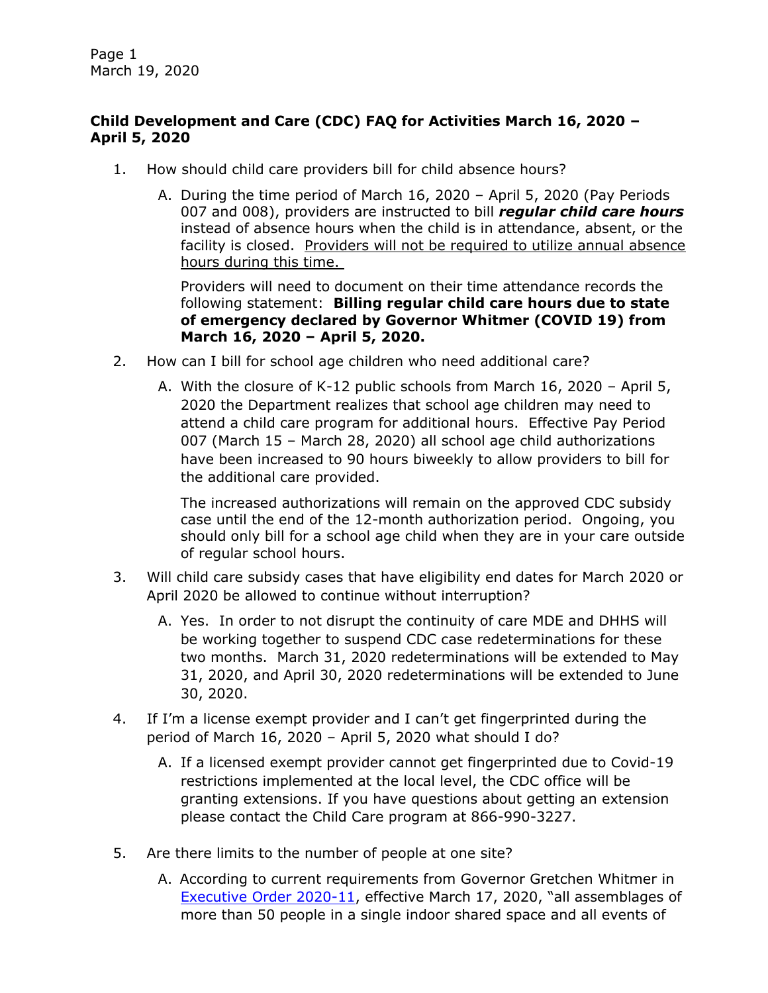Page 1 March 19, 2020

## **Child Development and Care (CDC) FAQ for Activities March 16, 2020 – April 5, 2020**

- 1. How should child care providers bill for child absence hours?
	- A. During the time period of March 16, 2020 April 5, 2020 (Pay Periods 007 and 008), providers are instructed to bill *regular child care hours*  instead of absence hours when the child is in attendance, absent, or the facility is closed. Providers will not be required to utilize annual absence hours during this time.

 Providers will need to document on their time attendance records the  **of emergency declared by Governor Whitmer (COVID 19) from March 16, 2020 – April 5, 2020.**  following statement: **Billing regular child care hours due to state** 

- 2. How can I bill for school age children who need additional care?
	- A. With the closure of K-12 public schools from March 16, 2020 April 5, 2020 the Department realizes that school age children may need to attend a child care program for additional hours. Effective Pay Period 007 (March 15 – March 28, 2020) all school age child authorizations the additional care provided. have been increased to 90 hours biweekly to allow providers to bill for

the additional care provided.<br>The increased authorizations will remain on the approved CDC subsidy case until the end of the 12-month authorization period. Ongoing, you should only bill for a school age child when they are in your care outside of regular school hours.

- 3. Will child care subsidy cases that have eligibility end dates for March 2020 or April 2020 be allowed to continue without interruption?
	- A. Yes. In order to not disrupt the continuity of care MDE and DHHS will be working together to suspend CDC case redeterminations for these two months. March 31, 2020 redeterminations will be extended to May 31, 2020, and April 30, 2020 redeterminations will be extended to June 30, 2020.
- 4. If I'm a license exempt provider and I can't get fingerprinted during the period of March 16, 2020 – April 5, 2020 what should I do?
	- granting extensions. If you have questions about getting an extension A. If a licensed exempt provider cannot get fingerprinted due to Covid-19 restrictions implemented at the local level, the CDC office will be please contact the Child Care program at 866-990-3227.
- 5. Are there limits to the number of people at one site?
	- A. According to current requirements from Governor Gretchen Whitmer in [Executive Order 2020-11](https://gcc01.safelinks.protection.outlook.com/?url=https%3A%2F%2Fwww.michigan.gov%2Fwhitmer%2F0%2C9309%2C7-387-90499_90705-521890--%2C00.html&data=02%7C01%7Ccoolmant%40michigan.gov%7C27c83dc908074834168408d7cc13ea7e%7Cd5fb7087377742ad966a892ef47225d1%7C0%7C0%7C637202258210490302&sdata=6rVArV86yjjOERiqhO1gcOW7fGFbLomZ2NstEPfIAPw%3D&reserved=0), effective March 17, 2020, "all assemblages of more than 50 people in a single indoor shared space and all events of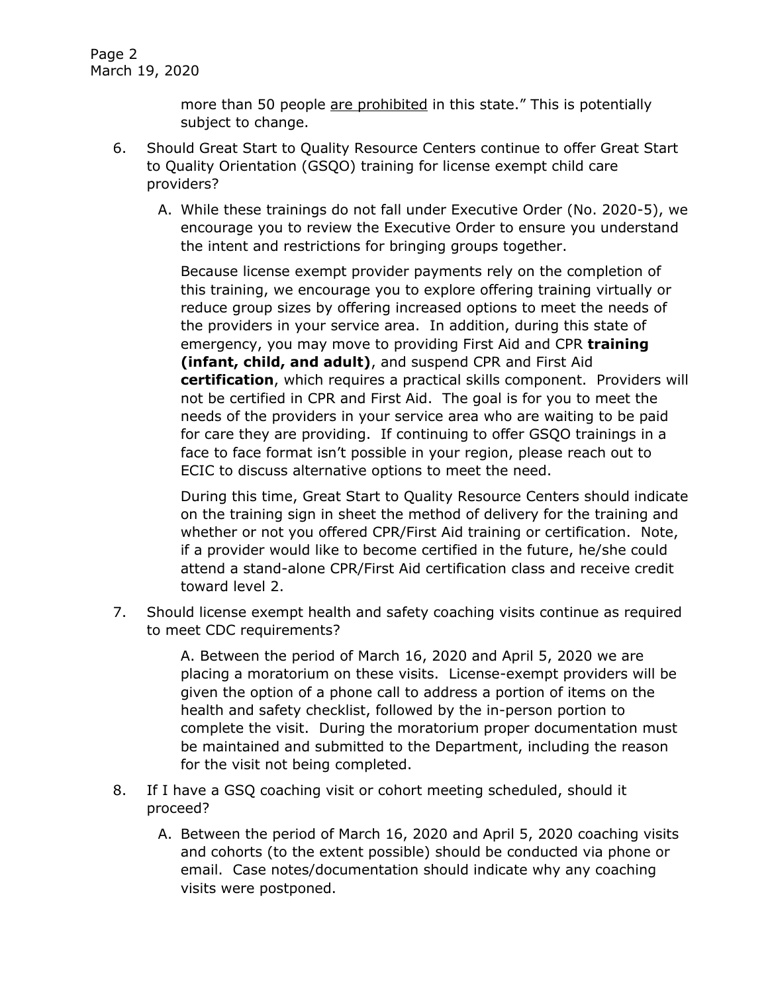Page 2 March 19, 2020

> more than 50 people are prohibited in this state." This is potentially subject to change.

- 6. Should Great Start to Quality Resource Centers continue to offer Great Start to Quality Orientation (GSQO) training for license exempt child care providers?
	- the intent and restrictions for bringing groups together. A. While these trainings do not fall under Executive Order (No. 2020-5), we encourage you to review the Executive Order to ensure you understand

 this training, we encourage you to explore offering training virtually or reduce group sizes by offering increased options to meet the needs of the providers in your service area. In addition, during this state of emergency, you may move to providing First Aid and CPR **training (infant, child, and adult)**, and suspend CPR and First Aid not be certified in CPR and First Aid. The goal is for you to meet the face to face format isn't possible in your region, please reach out to Because license exempt provider payments rely on the completion of **certification**, which requires a practical skills component. Providers will needs of the providers in your service area who are waiting to be paid for care they are providing. If continuing to offer GSQO trainings in a ECIC to discuss alternative options to meet the need.

 During this time, Great Start to Quality Resource Centers should indicate on the training sign in sheet the method of delivery for the training and if a provider would like to become certified in the future, he/she could attend a stand-alone CPR/First Aid certification class and receive credit toward level 2. whether or not you offered CPR/First Aid training or certification. Note,

 7. Should license exempt health and safety coaching visits continue as required to meet CDC requirements?

> A. Between the period of March 16, 2020 and April 5, 2020 we are placing a moratorium on these visits. License-exempt providers will be given the option of a phone call to address a portion of items on the health and safety checklist, followed by the in-person portion to complete the visit. During the moratorium proper documentation must be maintained and submitted to the Department, including the reason for the visit not being completed.

- 8. If I have a GSQ coaching visit or cohort meeting scheduled, should it proceed?
	- A. Between the period of March 16, 2020 and April 5, 2020 coaching visits and cohorts (to the extent possible) should be conducted via phone or email. Case notes/documentation should indicate why any coaching visits were postponed.